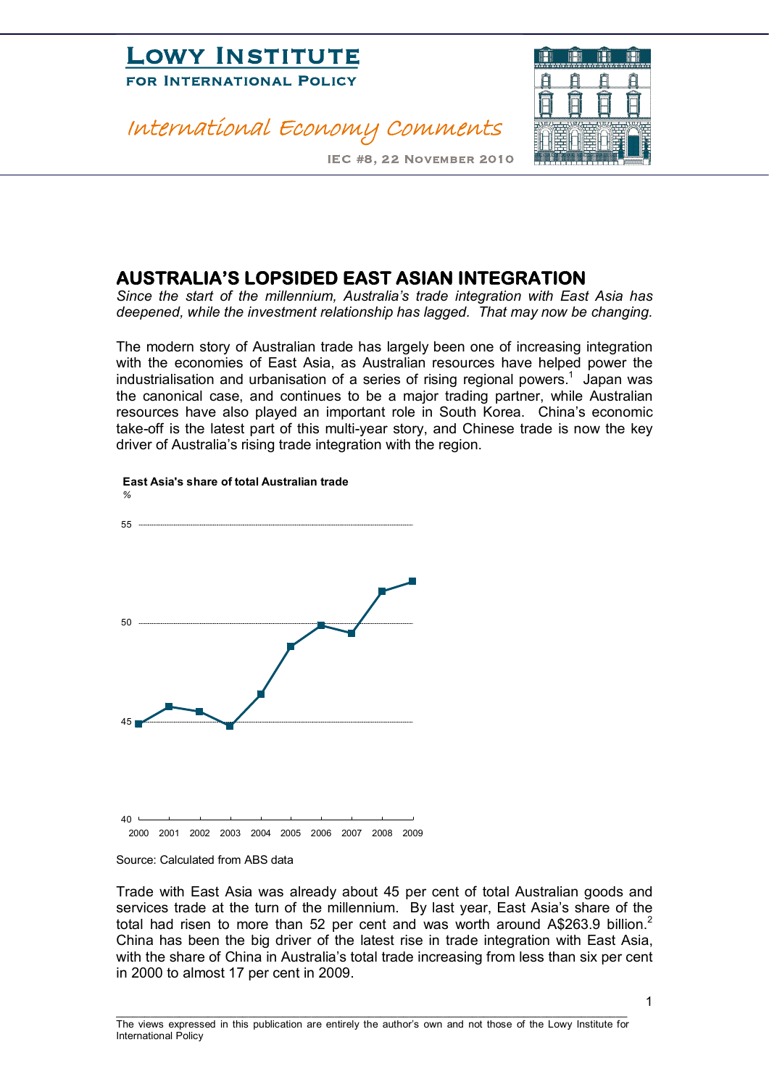

#### International Economy Comments



IEC #8, 22 November 2010

#### **AUSTRALIA'S LOPSIDED EAST ASIAN INTEGRATION**

*Since the start of the millennium, Australia's trade integration with East Asia has deepened, while the investment relationship has lagged. That may now be changing.*

The modern story of Australian trade has largely been one of increasing integration with the economies of East Asia, as Australian resources have helped power the industrialisation and urbanisation of a series of rising regional powers.<sup>1</sup> Japan was the canonical case, and continues to be a major trading partner, while Australian resources have also played an important role in South Korea. China's economic take-off is the latest part of this multi-year story, and Chinese trade is now the key driver of Australia's rising trade integration with the region.



#### **East Asia's share of total Australian trade**

Trade with East Asia was already about 45 per cent of total Australian goods and services trade at the turn of the millennium. By last year, East Asia's share of the total had risen to more than 52 per cent and was worth around A\$263.9 billion.<sup>2</sup> China has been the big driver of the latest rise in trade integration with East Asia, with the share of China in Australia's total trade increasing from less than six per cent in 2000 to almost 17 per cent in 2009.

The views expressed in this publication are entirely the author's own and not those of the Lowy Institute for International Policy

\_\_\_\_\_\_\_\_\_\_\_\_\_\_\_\_\_\_\_\_\_\_\_\_\_\_\_\_\_\_\_\_\_\_\_\_\_\_\_\_\_\_\_\_\_\_\_\_\_\_\_\_\_\_\_\_\_\_\_\_\_\_\_\_\_\_\_\_\_\_\_\_\_\_\_\_\_\_\_\_\_\_\_\_\_\_\_\_\_

Source: Calculated from ABS data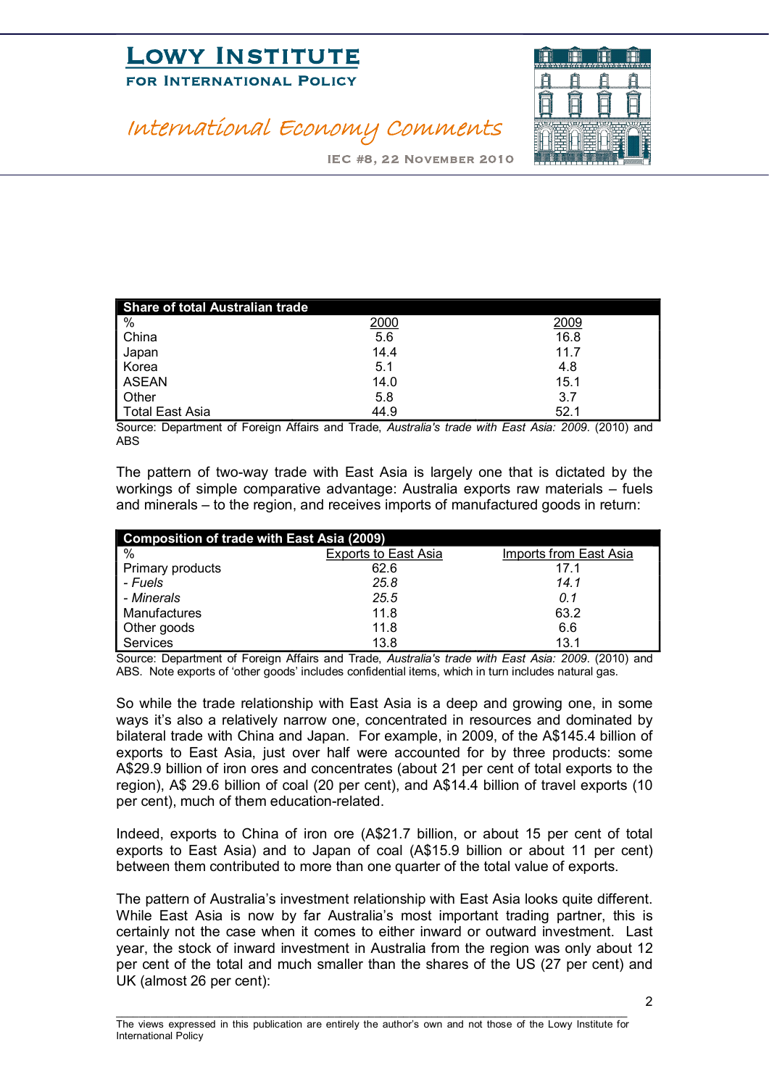# **LOWI INSTITUTE**<br>FOR INTERNATIONAL POLICY FOR INTERNATIONAL POLICE



#### International Economy Comments

IEC #8, 22 November 2010

| Share of total Australian trade |      |      |  |  |
|---------------------------------|------|------|--|--|
| %                               | 2000 | 2009 |  |  |
| <b>China</b>                    | 5.6  | 16.8 |  |  |
| Japan                           | 14.4 | 11.7 |  |  |
| Korea                           | 5.1  | 4.8  |  |  |
| ASEAN                           | 14.0 | 15.1 |  |  |
| Other                           | 5.8  | 3.7  |  |  |
| Total East Asia                 | 44.9 | 52.1 |  |  |

Source: Department of Foreign Affairs and Trade, *Australia's trade with East Asia: 2009*. (2010) and ABS

The pattern of two-way trade with East Asia is largely one that is dictated by the workings of simple comparative advantage: Australia exports raw materials – fuels and minerals – to the region, and receives imports of manufactured goods in return:

| Composition of trade with East Asia (2009) |                             |                               |  |
|--------------------------------------------|-----------------------------|-------------------------------|--|
| %                                          | <b>Exports to East Asia</b> | <b>Imports from East Asia</b> |  |
| Primary products                           | 62.6                        | 17.1                          |  |
| - Fuels                                    | 25.8                        | 14.1                          |  |
| - Minerals                                 | 25.5                        | 0.1                           |  |
| Manufactures                               | 11.8                        | 63.2                          |  |
| Other goods                                | 11.8                        | 6.6                           |  |
| Services                                   | 13.8                        | 13.1                          |  |

Source: Department of Foreign Affairs and Trade, *Australia's trade with East Asia: 2009*. (2010) and ABS. Note exports of 'other goods' includes confidential items, which in turn includes natural gas.

So while the trade relationship with East Asia is a deep and growing one, in some ways it's also a relatively narrow one, concentrated in resources and dominated by bilateral trade with China and Japan. For example, in 2009, of the A\$145.4 billion of exports to East Asia, just over half were accounted for by three products: some A\$29.9 billion of iron ores and concentrates (about 21 per cent of total exports to the region), A\$ 29.6 billion of coal (20 per cent), and A\$14.4 billion of travel exports (10 per cent), much of them education-related.

Indeed, exports to China of iron ore (A\$21.7 billion, or about 15 per cent of total exports to East Asia) and to Japan of coal (A\$15.9 billion or about 11 per cent) between them contributed to more than one quarter of the total value of exports.

The pattern of Australia's investment relationship with East Asia looks quite different. While East Asia is now by far Australia's most important trading partner, this is certainly not the case when it comes to either inward or outward investment. Last year, the stock of inward investment in Australia from the region was only about 12 per cent of the total and much smaller than the shares of the US (27 per cent) and UK (almost 26 per cent):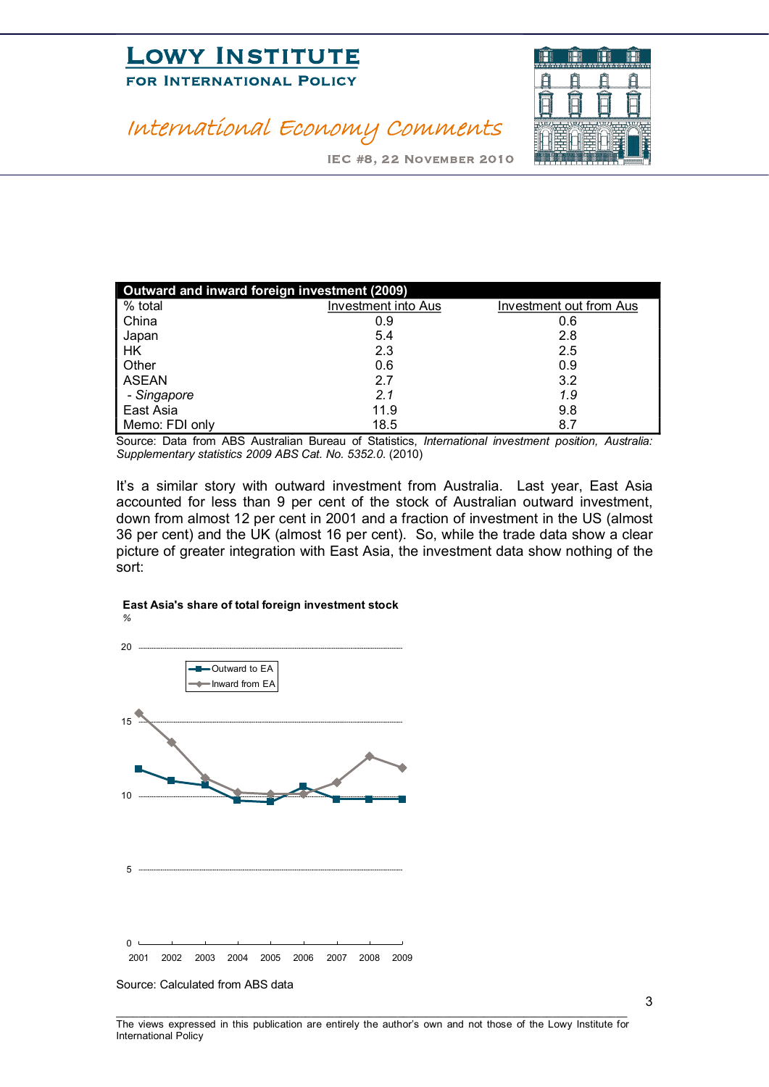# **LOWI INSTITUTE**<br>FOR INTERNATIONAL POLICY FOR INTERNATIONAL POLICE



# International Economy Comments

IEC #8, 22 November 2010

| Outward and inward foreign investment (2009) |                            |                                |  |  |
|----------------------------------------------|----------------------------|--------------------------------|--|--|
| % total                                      | <b>Investment into Aus</b> | <b>Investment out from Aus</b> |  |  |
| China                                        | 0.9                        | 0.6                            |  |  |
| Japan                                        | 5.4                        | 2.8                            |  |  |
| HΚ                                           | 2.3                        | 2.5                            |  |  |
| Other                                        | 0.6                        | 0.9                            |  |  |
| <b>ASEAN</b>                                 | 2.7                        | 3.2                            |  |  |
| - Singapore                                  | 2.1                        | 1.9                            |  |  |
| East Asia                                    | 11.9                       | 9.8                            |  |  |
| Memo: FDI only                               | 18.5                       | 8.7                            |  |  |

Source: Data from ABS Australian Bureau of Statistics, *International investment position, Australia: Supplementary statistics 2009 ABS Cat. No. 5352.0*. (2010)

It's a similar story with outward investment from Australia. Last year, East Asia accounted for less than 9 per cent of the stock of Australian outward investment, down from almost 12 per cent in 2001 and a fraction of investment in the US (almost 36 per cent) and the UK (almost 16 per cent). So, while the trade data show a clear picture of greater integration with East Asia, the investment data show nothing of the sort:

#### **East Asia's share of total foreign investment stock** *%*



Source: Calculated from ABS data